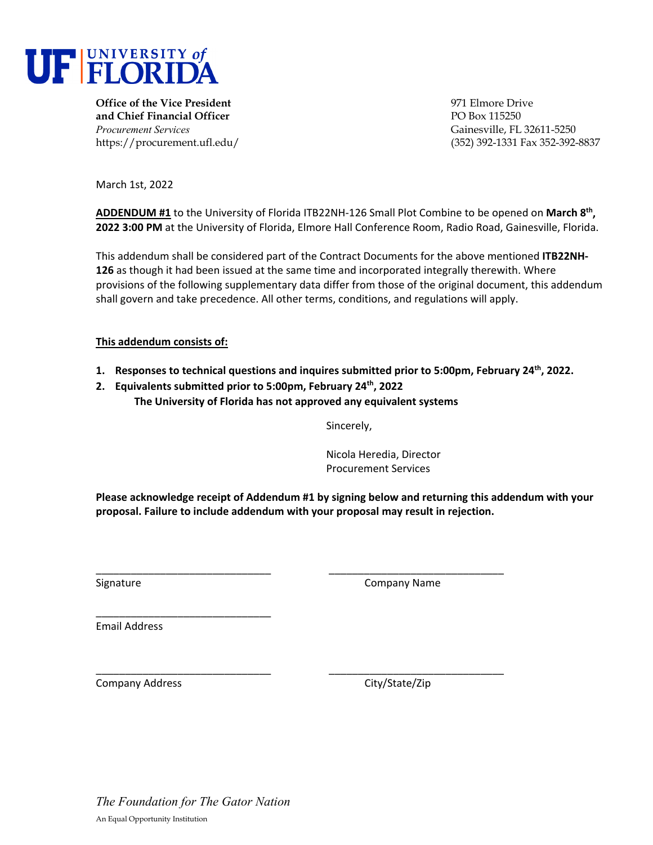

**Office of the Vice President** 971 Elmore Drive **and Chief Financial Officer** PO Box 115250 *Procurement Services* Gainesville, FL 32611-5250

https://procurement.ufl.edu/ (352) 392-1331 Fax 352-392-8837

March 1st, 2022

**ADDENDUM #1** to the University of Florida ITB22NH‐126 Small Plot Combine to be opened on **March 8th, 2022 3:00 PM** at the University of Florida, Elmore Hall Conference Room, Radio Road, Gainesville, Florida.

This addendum shall be considered part of the Contract Documents for the above mentioned **ITB22NH‐ 126** as though it had been issued at the same time and incorporated integrally therewith. Where provisions of the following supplementary data differ from those of the original document, this addendum shall govern and take precedence. All other terms, conditions, and regulations will apply.

**This addendum consists of:** 

- **1. Responses to technical questions and inquires submitted prior to 5:00pm, February 24th, 2022.**
- **2. Equivalents submitted prior to 5:00pm, February 24th, 2022 The University of Florida has not approved any equivalent systems**

Sincerely,

Nicola Heredia, Director Procurement Services

**Please acknowledge receipt of Addendum #1 by signing below and returning this addendum with your proposal. Failure to include addendum with your proposal may result in rejection.**

\_\_\_\_\_\_\_\_\_\_\_\_\_\_\_\_\_\_\_\_\_\_\_\_\_\_\_\_\_\_ \_\_\_\_\_\_\_\_\_\_\_\_\_\_\_\_\_\_\_\_\_\_\_\_\_\_\_\_\_\_

\_\_\_\_\_\_\_\_\_\_\_\_\_\_\_\_\_\_\_\_\_\_\_\_\_\_\_\_\_\_ \_\_\_\_\_\_\_\_\_\_\_\_\_\_\_\_\_\_\_\_\_\_\_\_\_\_\_\_\_\_

Signature **Company Name** 

Email Address

Company Address 
Company Address

Company City/State/Zip

\_\_\_\_\_\_\_\_\_\_\_\_\_\_\_\_\_\_\_\_\_\_\_\_\_\_\_\_\_\_